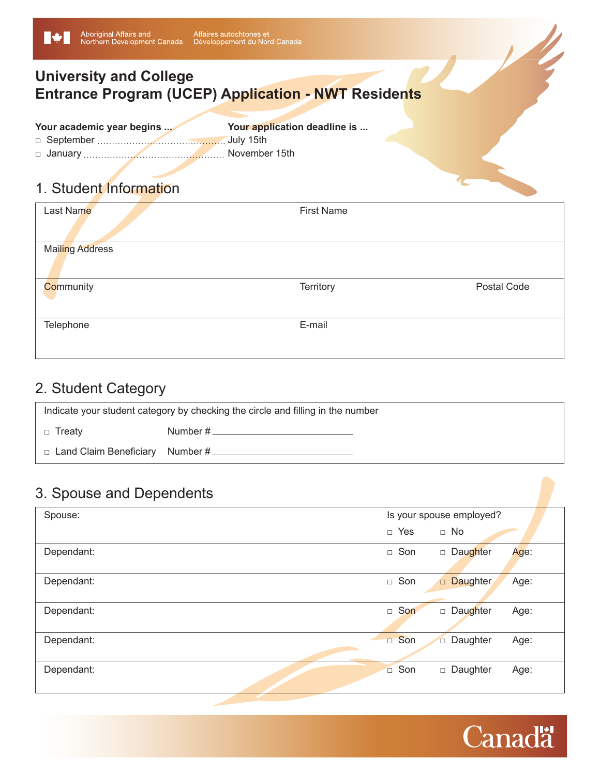## **University and College Entrance Program (UCEP) Application - NWT Residents**

| Your academic year begins | Your application deadline is |
|---------------------------|------------------------------|
|                           |                              |
|                           |                              |

#### 1. Student Information

| Last Name              | <b>First Name</b> |             |
|------------------------|-------------------|-------------|
| <b>Mailing Address</b> |                   |             |
| Community              | Territory         | Postal Code |
| Telephone              | E-mail            |             |

# 2. Student Category

| Indicate your student category by checking the circle and filling in the number |          |
|---------------------------------------------------------------------------------|----------|
| □ Treatv                                                                        | Number # |
| $\Box$ Land Claim Beneficiary Number #                                          |          |

#### 3. Spouse and Dependents

| Spouse:    | Is your spouse employed?            |
|------------|-------------------------------------|
|            | $\Box$ No<br>$\Box$ Yes             |
| Dependant: | □ Son<br>Daughter<br>Age:           |
| Dependant: | □ Son<br>Daughter<br>Age:           |
| Dependant: | $\Box$ Son<br>Daughter<br>Age:      |
| Dependant: | □ Son<br>Daughter<br>Age:<br>$\Box$ |
| Dependant: | Daughter<br>□ Son<br>Age:           |